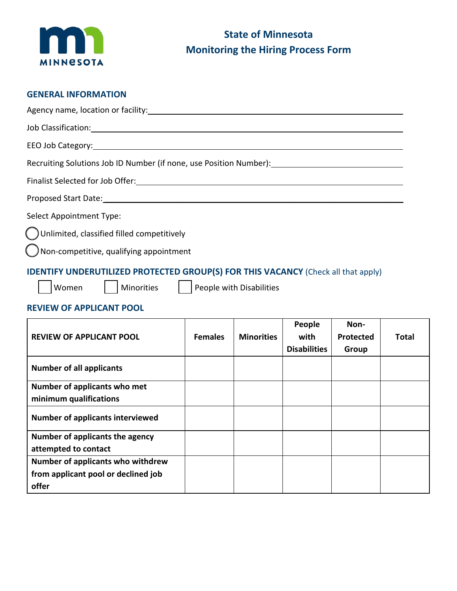

### **GENERAL INFORMATION**

| Recruiting Solutions Job ID Number (if none, use Position Number): Necruiting Solutions Job ID Number (if none, use Position Number): |
|---------------------------------------------------------------------------------------------------------------------------------------|
|                                                                                                                                       |
|                                                                                                                                       |
| <b>Select Appointment Type:</b>                                                                                                       |
| Unlimited, classified filled competitively                                                                                            |
| $\bigcap$ Non-competitive, qualifying appointment                                                                                     |
| <b>IDENTIFY UNDERUTILIZED PROTECTED GROUP(S) FOR THIS VACANCY (Check all that apply)</b>                                              |

 $\sqrt{\phantom{a}}$  Minorities  $\sqrt{\phantom{a}}$  People with Disabilities

## **REVIEW OF APPLICANT POOL**

| <b>REVIEW OF APPLICANT POOL</b>                        | <b>Females</b> | <b>Minorities</b> | People<br>with<br><b>Disabilities</b> | Non-<br>Protected<br>Group | Total |
|--------------------------------------------------------|----------------|-------------------|---------------------------------------|----------------------------|-------|
| <b>Number of all applicants</b>                        |                |                   |                                       |                            |       |
| Number of applicants who met<br>minimum qualifications |                |                   |                                       |                            |       |
| <b>Number of applicants interviewed</b>                |                |                   |                                       |                            |       |
| Number of applicants the agency                        |                |                   |                                       |                            |       |
| attempted to contact                                   |                |                   |                                       |                            |       |
| Number of applicants who withdrew                      |                |                   |                                       |                            |       |
| from applicant pool or declined job                    |                |                   |                                       |                            |       |
| offer                                                  |                |                   |                                       |                            |       |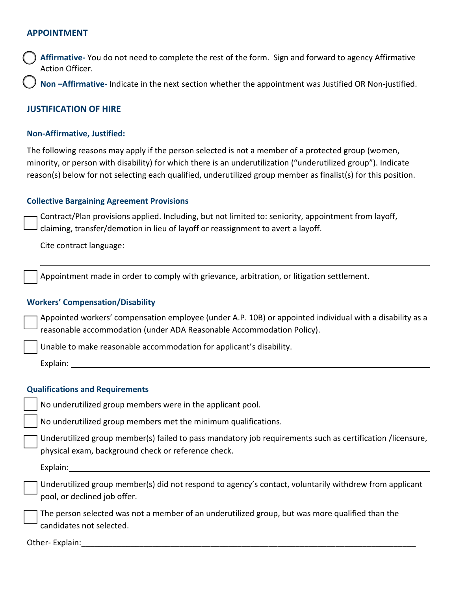### **APPOINTMENT**

 **Affirmative-** You do not need to complete the rest of the form. Sign and forward to agency Affirmative Action Officer.

**Non –Affirmative**- Indicate in the next section whether the appointment was Justified OR Non-justified.

### **JUSTIFICATION OF HIRE**

#### **Non-Affirmative, Justified:**

 reason(s) below for not selecting each qualified, underutilized group member as finalist(s) for this position. The following reasons may apply if the person selected is not a member of a protected group (women, minority, or person with disability) for which there is an underutilization ("underutilized group"). Indicate

#### **Collective Bargaining Agreement Provisions**

Contract/Plan provisions applied. Including, but not limited to: seniority, appointment from layoff, claiming, transfer/demotion in lieu of layoff or reassignment to avert a layoff.

Cite contract language:

Appointment made in order to comply with grievance, arbitration, or litigation settlement.

#### **Workers' Compensation/Disability**

Appointed workers' compensation employee (under A.P. 10B) or appointed individual with a disability as a reasonable accommodation (under ADA Reasonable Accommodation Policy).

Unable to make reasonable accommodation for applicant's disability.

Explain:

#### **Qualifications and Requirements**

No underutilized group members were in the applicant pool.

No underutilized group members met the minimum qualifications.

 Underutilized group member(s) failed to pass mandatory job requirements such as certification /licensure, physical exam, background check or reference check.

Explain:

Underutilized group member(s) did not respond to agency's contact, voluntarily withdrew from applicant pool, or declined job offer.

The person selected was not a member of an underutilized group, but was more qualified than the candidates not selected.

Other- Explain: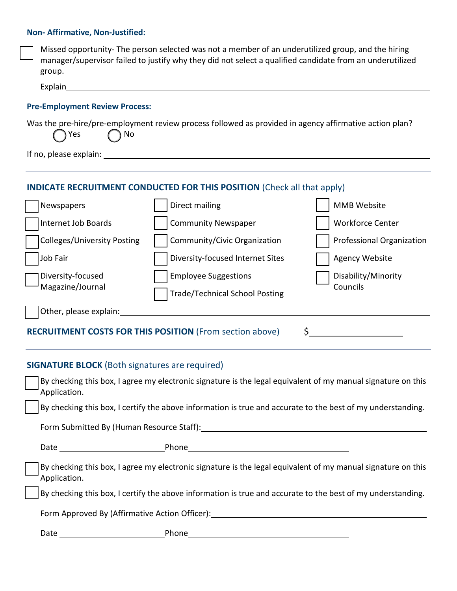### **Non- Affirmative, Non-Justified:**

| Missed opportunity-The person selected was not a member of an underutilized group, and the hiring<br>manager/supervisor failed to justify why they did not select a qualified candidate from an underutilized<br>group. |                                       |                           |  |  |  |  |  |
|-------------------------------------------------------------------------------------------------------------------------------------------------------------------------------------------------------------------------|---------------------------------------|---------------------------|--|--|--|--|--|
| Explain                                                                                                                                                                                                                 |                                       |                           |  |  |  |  |  |
| <b>Pre-Employment Review Process:</b>                                                                                                                                                                                   |                                       |                           |  |  |  |  |  |
| Was the pre-hire/pre-employment review process followed as provided in agency affirmative action plan?<br>No<br>Yes                                                                                                     |                                       |                           |  |  |  |  |  |
| If no, please explain:                                                                                                                                                                                                  |                                       |                           |  |  |  |  |  |
| <b>INDICATE RECRUITMENT CONDUCTED FOR THIS POSITION (Check all that apply)</b>                                                                                                                                          |                                       |                           |  |  |  |  |  |
| Newspapers                                                                                                                                                                                                              | Direct mailing                        | <b>MMB Website</b>        |  |  |  |  |  |
| Internet Job Boards                                                                                                                                                                                                     | <b>Community Newspaper</b>            | <b>Workforce Center</b>   |  |  |  |  |  |
| Colleges/University Posting                                                                                                                                                                                             | Community/Civic Organization          | Professional Organization |  |  |  |  |  |
| Job Fair                                                                                                                                                                                                                | Diversity-focused Internet Sites      | <b>Agency Website</b>     |  |  |  |  |  |
| Diversity-focused                                                                                                                                                                                                       | <b>Employee Suggestions</b>           | Disability/Minority       |  |  |  |  |  |
| Magazine/Journal                                                                                                                                                                                                        | <b>Trade/Technical School Posting</b> | Councils                  |  |  |  |  |  |
| Other, please explain:                                                                                                                                                                                                  |                                       |                           |  |  |  |  |  |
| <b>RECRUITMENT COSTS FOR THIS POSITION (From section above)</b><br>\$                                                                                                                                                   |                                       |                           |  |  |  |  |  |

# **SIGNATURE BLOCK** (Both signatures are required)

| By checking this box, I agree my electronic signature is the legal equivalent of my manual signature on this<br>Application. |                                                                                                              |  |  |  |  |
|------------------------------------------------------------------------------------------------------------------------------|--------------------------------------------------------------------------------------------------------------|--|--|--|--|
|                                                                                                                              | By checking this box, I certify the above information is true and accurate to the best of my understanding.  |  |  |  |  |
| Form Submitted By (Human Resource Staff):                                                                                    |                                                                                                              |  |  |  |  |
|                                                                                                                              |                                                                                                              |  |  |  |  |
| Application.                                                                                                                 | By checking this box, I agree my electronic signature is the legal equivalent of my manual signature on this |  |  |  |  |
| By checking this box, I certify the above information is true and accurate to the best of my understanding.                  |                                                                                                              |  |  |  |  |
| Form Approved By (Affirmative Action Officer):                                                                               |                                                                                                              |  |  |  |  |
|                                                                                                                              | Phone the control                                                                                            |  |  |  |  |